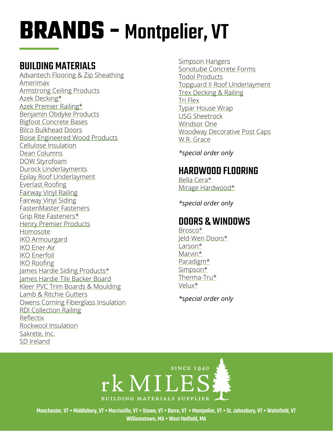# **BRANDS -** Montpelier, VT

## BUILDING MATERIALS

[Advantech Flooring & Zip Sheathing](https://www.huberwood.com/)  [Amerimax](https://www.amerimax.com/)  [Armstrong Ceiling Products](http://www.armstrongceilings.com/residential/en-us/) [Azek Decking](https://www.timbertech.com/azek-decking)\* [Azek Premier Railing](https://www.timbertech.com/azek-railing)\* [Benjamin Obdyke Products](http://www.benjaminobdyke.com/)  [Bigfoot Concrete Bases](http://www.bigfootsystems.com/) [Bilco Bulkhead Doors](https://www.bilco.com/) [Boise Engineered Wood Products](https://www.bc.com/ewp/) [Cellulose Insulation](https://www.greenfiber.com/) [Dean Columns](http://www.deancolumn.com/) [DOW Styrofoam](http://building.dow.com/na/en/products/insulation/rigidfoam.htm)  [Durock Underlayments](http://www.usg.com/durock-cement-board.html)  [Epilay Roof Underlayment](https://www.epilay.com/synthetic-roofing-underlayment/) [Everlast Roofing](https://everlastroofing.com/) [Fairway Vinyl Railing](https://www.fairwayrailing.com/products/product-types/vinyl-railing/)  [Fairway Vinyl Siding](https://www.fairwaywholesale.com/fairway) [FastenMaster Fasteners](https://www.fastenmaster.com/)  [Grip Rite Fasteners\\*](https://www.grip-rite.com/products/us-en-products/fasteners/) Henry Premier Products H[omosote](http://www.homasote.com/)  [IKO Armourgard](https://www.iko.com/na/residential-roofing-accessories/ice-water-protectors/armourgard/) [IKO Ener-Air](https://www.iko.com/comm/product/iko-ener-air/)  [IKO Enerfoil](https://www.iko.com/comm/product/iko-enerfoil-sheathing/) [IKO Roofing](http://www.iko.com/us/) [James Hardie Siding Products\\*](http://www.jameshardie.com/homeowner/siding.shtml)  [James Hardie Tile Backer Board](https://www.jameshardie.com/products/hardiebacker-cement-board) [Kleer PVC Trim Boards & Moulding](https://kleerlumber.com/) [Lamb & Ritchie Gutters](https://www.lambritchie.com/catalog01.shtml)  [Owens Corning Fiberglass Insulation](https://www.owenscorning.com/insulation) [RDI Collection Railing](https://www.barretteoutdoorliving.com/product/rdi-collection-titan-pro-rail-vinyl-railing-kit) [Reflectix](https://www.reflectixinc.com/) [Rockwool Insulation](https://www.rockwool.com/)  [Sakrete, Inc.](http://www.sakrete.com/) SD Ireland

[Simpson Hangers](http://www.strongtie.com/)  [Sonotube Concrete Forms](http://sonotube.com/products/sonotubeconcreteforms.aspx) [Todol Products](https://todol.com/) [Topguard II Roof Underlayment](http://www.rooftopguard.com/en/home.html) [Trex Decking & Railing](http://www.trex.com/) [Tri Flex](https://gcpat.com/en/solutions/products/tri-flex-synthetic-underlayment/tri-flex-xt-synthetic-underlayment)  [Typar House Wrap](http://www.typar.com/products/typar-buildingwrap/) [USG Sheetrock](https://www.usg.com/content/usgcom/en.html) [Windsor One](https://windsorone.com/) [Woodway](https://www.woodwayproducts.com/products/post-caps) Decorative Post Caps [W.R. Grace](http://www.grace.com/)

*\*special order only*

## HARDWOOD FLOORING

[Bella Cera\\*](http://www.bellacerafloors.com/hardwood-flooring/Casa-Mia-hardwood-flooring.aspx) Mirage Hardwood\*

*\*special order only*

## DOORS & WINDOWS

[Brosco\\*](http://www.brosco.com/) [Jeld-Wen](https://www.dupont.com/products/tyvek-homewrap-superior-house-wrap.html) Doors\* [Larson](https://www.larsondoors.com/)\* [Marvin](http://www.marvin.com/)\* [Paradigm\\*](http://www.paradigmwindows.com/) [Simpson](http://www.simpsondoor.com/)\* [Therma-Tru\\*](https://www.thermatru.com/) [Velux\\*](https://www.velux.com/)

*\*special order only*



Manchester, VT • Middlebury, VT • Morrisville, VT • Stowe, VT • Barre, VT • Montpelier, VT • St. Johnsbury, VT • Waitsfield, VT Williamstown, MA • West Hatfield, MA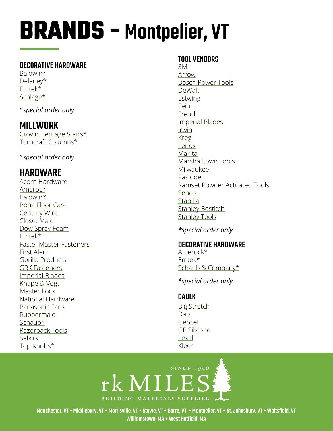# **BRANDS -** Montpelier, VT

#### DECORATIVE HARDWARE

[Baldwin](http://www.baldwinhardware.com/home.aspx)\* [Delaney](https://delaneyhardware.com/)\* [Emtek\\*](http://www.emtekproducts.com/) [Schlage](https://www.schlage.com/en/home.html)\*

*\*special order only*

### MILLWORK

[Crown Heritage Stairs\\*](http://crownheritage.com/Products) [Turncraft Columns\\*](https://turncraft.com/) 

*\*special order onl[y](http://www.hydetools.com/)*

## **HARDWARE**

[Acorn Hardware](http://www.acornmfg.com/) [Amerock](https://www.amerock.com/) [Baldwin\\*](https://www.baldwinhardware.com/) [Bona Floor Care](https://us.bona.com/bona-clean.html?healthy_home&gclid=EAIaIQobChMIpfftyOHn7wIVV8DICh2CgQZ1EAAYAiAAEgJNUPD_BwE) [Century Wire](https://www.centurywire.com/) [Closet Maid](https://closetmaid.com/webapp/wcs/stores/servlet/en/closetmaid-us) [Dow Spray Foam](https://www.dow.com/en-us/market/mkt-building-construction/sub-build-wall-systems-insulation-facade/app-build-wallinsulation-spray-foam.html) [Emtek\\*](https://emtek.com/) [FastenMaster Fasteners](https://www.fastenmaster.com/) [First Alert](https://www.firstalert.com/)  [Gorilla Products](https://www.gorillatough.com/) [GRK Fasteners](https://www.grkfasteners.com/) [Imperial Blades](https://imperialblades.com/) [Knape & Vogt](https://www.knapeandvogt.com/) [Master Lock](https://www.masterlock.com/) [National Hardware](https://www.national-hardware.com/) [Panasonic Fans](https://na.panasonic.com/us/home-and-building-solutions/ventilation-indoor-air-quality/ventilation-fans) [Rubbermaid](https://www.rubbermaid.com/) [Schaub\\*](https://schaubandcompany.com/) [Razorback Tools](https://www.razor-back.com/) **[Selkirk](http://www.selkirkcorp.com/)** [Top Knobs\\*](https://www.topknobs.com/) 

#### TOOL VENDORS

[3M](https://www.3m.com/) [Arrow](https://arrowfastener.com/) [Bosch Power Tools](http://www.boschtools.com/products/tools/Pages/BoschProductCategory.aspx) [DeWalt](https://www.dewalt.com/) **[Estwing](https://www.estwing.com/)** [Fein](https://fein.com/en_us/) [Freud](https://www.freudtools.com/) [Imperial Blades](http://www.imperialblades.com/) [Irwin](https://www.irwin.com/) [Kreg](https://www.kregtool.com/) [Lenox](https://www.lenoxtools.com/Pages/Home.aspx) [Makita](https://www.makitatools.com/) [Marshalltown Tools](https://marshalltown.com/) [Milwaukee](https://www.milwaukeetool.com/) [Paslode](https://www.paslode.com/) [Ramset](https://www.ramset.com/) Powder Actuated Tools [Senco](https://www.senco.com/default.aspx) [Stabilia](http://www.stabila.com/) **[Stanley Bostitch](https://www.bostitch.com/) [Stanley Tools](https://www.stanleytools.com/)** 

*\*special order only*

#### DECORATIVE HARDWARE

[Amerock\\*](https://www.amerock.com/)  [Emtek](https://emtek.com/)\* [Schaub & Company](https://schaubandcompany.com/)\*

*\*special order only*

#### CAULK

[Big Stretch](https://www.sashco.com/products/big-stretch/) [Dap](https://www.dap.com/) [Geocel](https://www.geocelusa.com/) [GE Silicone](http://siliconeforbuilding.com) [Lexel](https://www.sashco.com/products/lexel/) [Kleer](http://www.kleerlumber.com/products/adhesives-fasteners/adhesives/sealant)

## SINCE 1940 rkMILE **BUILDING MATERIALS SUPPLIER**

Manchester, VT • Middlebury, VT • Morrisville, VT • Stowe, VT • Barre, VT • Montpelier, VT • St. Johnsbury, VT • Waitsfield, VT Williamstown, MA • West Hatfield, MA